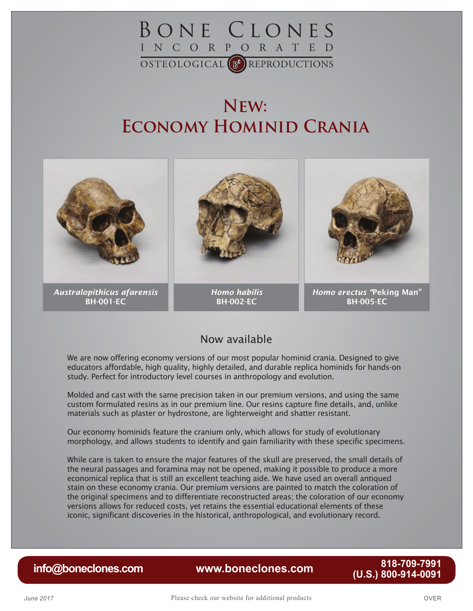

## **New: Economy Hominid Crania**



### Now available

We are now offering economy versions of our most popular hominid crania. Designed to give educators affordable, high quality, highly detailed, and durable replica hominids for hands-on study. Perfect for introductory level courses in anthropology and evolution.

Molded and cast with the same precision taken in our premium versions, and using the same custom formulated resins as in our premium line. Our resins capture fine details, and, unlike materials such as plaster or hydrostone, are lighterweight and shatter resistant.

Our economy hominids feature the cranium only, which allows for study of evolutionary morphology, and allows students to identify and gain familiarity with these specific specimens.

While care is taken to ensure the major features of the skull are preserved, the small details of the neural passages and foramina may not be opened, making it possible to produce a more economical replica that is still an excellent teaching aide. We have used an overall antiqued stain on these economy crania. Our premium versions are painted to match the coloration of the original specimens and to differentiate reconstructed areas; the coloration of our economy versions allows for reduced costs, yet retains the essential educational elements of these iconic, significant discoveries in the historical, anthropological, and evolutionary record.

**[www.boneclones.com](http://www.boneclones.com) (U.S.) 800-914-0091 [info@boneclones.com](mailto:info@boneclones.com)** 818-709-7991<br>**0091-914-0091** (U.S.)